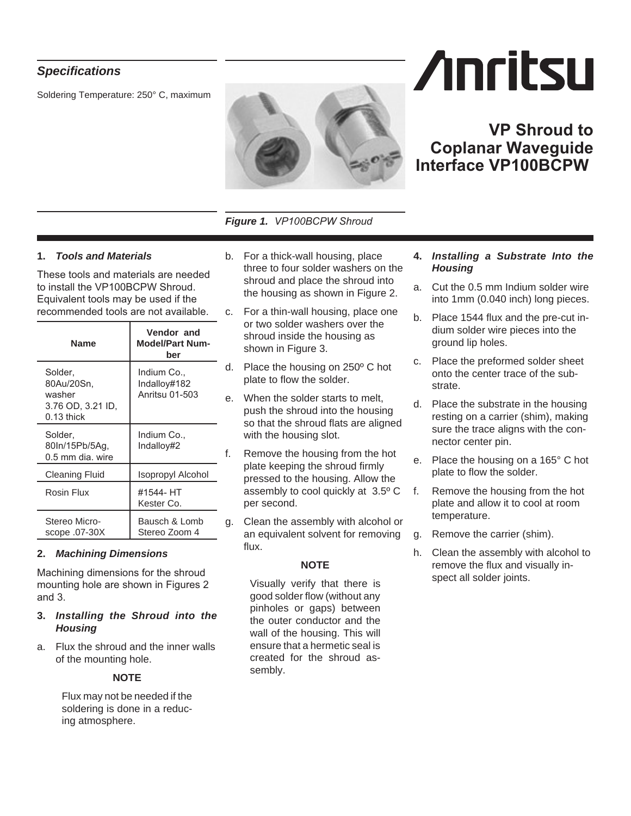# *Specifications*

Soldering Temperature: 250° C, maximum



*Figure 1. VP100BCPW Shroud*

## **1.** *Tools and Materials*

These tools and materials are needed to install the VP100BCPW Shroud. Equivalent tools may be used if the recommended tools are not available.

| Name                                                                 | Vendor and<br><b>Model/Part Num-</b><br>ber   |
|----------------------------------------------------------------------|-----------------------------------------------|
| Solder,<br>80Au/20Sn,<br>washer<br>3.76 OD, 3.21 ID,<br>$0.13$ thick | Indium Co.,<br>Indalloy#182<br>Anritsu 01-503 |
| Solder,<br>80In/15Pb/5Aq,<br>$0.5$ mm dia, wire                      | Indium Co<br>Indallov#2                       |
| <b>Cleaning Fluid</b>                                                | Isopropyl Alcohol                             |
| Rosin Flux                                                           | #1544- HT<br>Kester Co.                       |
| Stereo Micro-<br>scope .07-30X                                       | Bausch & Lomb<br>Stereo Zoom 4                |

#### **2.** *Machining Dimensions*

Machining dimensions for the shroud mounting hole are shown in Figures 2 and 3.

- **3.** *Installing the Shroud into the Housing*
- a. Flux the shroud and the inner walls of the mounting hole.

#### **NOTE**

Flux may not be needed if the soldering is done in a reducing atmosphere.

- b. For a thick-wall housing, place three to four solder washers on the shroud and place the shroud into the housing as shown in Figure 2.
- c. For a thin-wall housing, place one or two solder washers over the shroud inside the housing as shown in Figure 3.
- d. Place the housing on 250º C hot plate to flow the solder.
- e. When the solder starts to melt, push the shroud into the housing so that the shroud flats are aligned with the housing slot.
- f. Remove the housing from the hot plate keeping the shroud firmly pressed to the housing. Allow the assembly to cool quickly at 3.5º C per second.
- g. Clean the assembly with alcohol or an equivalent solvent for removing flux.

#### **NOTE**

Visually verify that there is good solder flow (without any pinholes or gaps) between the outer conductor and the wall of the housing. This will ensure that a hermetic seal is created for the shroud assembly.

### **4.** *Installing a Substrate Into the Housing*

- a. Cut the 0.5 mm Indium solder wire into 1mm (0.040 inch) long pieces.
- b. Place 1544 flux and the pre-cut indium solder wire pieces into the ground lip holes.
- c. Place the preformed solder sheet onto the center trace of the substrate.
- d. Place the substrate in the housing resting on a carrier (shim), making sure the trace aligns with the connector center pin.
- e. Place the housing on a 165° C hot plate to flow the solder.
- f. Remove the housing from the hot plate and allow it to cool at room temperature.
- g. Remove the carrier (shim).
- h. Clean the assembly with alcohol to remove the flux and visually inspect all solder joints.

# **Anritsu**

**Coplanar Waveguide**

**VP Shroud to**